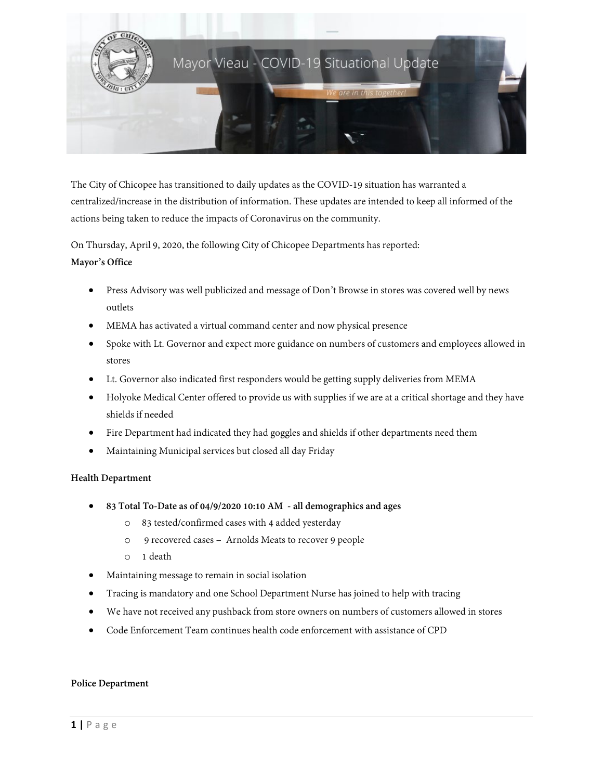

The City of Chicopee has transitioned to daily updates as the COVID-19 situation has warranted a centralized/increase in the distribution of information. These updates are intended to keep all informed of the actions being taken to reduce the impacts of Coronavirus on the community.

On Thursday, April 9, 2020, the following City of Chicopee Departments has reported:

# **Mayor's Office**

- Press Advisory was well publicized and message of Don't Browse in stores was covered well by news outlets
- MEMA has activated a virtual command center and now physical presence
- Spoke with Lt. Governor and expect more guidance on numbers of customers and employees allowed in stores
- Lt. Governor also indicated first responders would be getting supply deliveries from MEMA
- Holyoke Medical Center offered to provide us with supplies if we are at a critical shortage and they have shields if needed
- Fire Department had indicated they had goggles and shields if other departments need them
- Maintaining Municipal services but closed all day Friday

## **Health Department**

- **83 Total To-Date as of 04/9/2020 10:10 AM - all demographics and ages**
	- o 83 tested/confirmed cases with 4 added yesterday
	- o 9 recovered cases Arnolds Meats to recover 9 people
	- o 1 death
- Maintaining message to remain in social isolation
- Tracing is mandatory and one School Department Nurse has joined to help with tracing
- We have not received any pushback from store owners on numbers of customers allowed in stores
- Code Enforcement Team continues health code enforcement with assistance of CPD

#### **Police Department**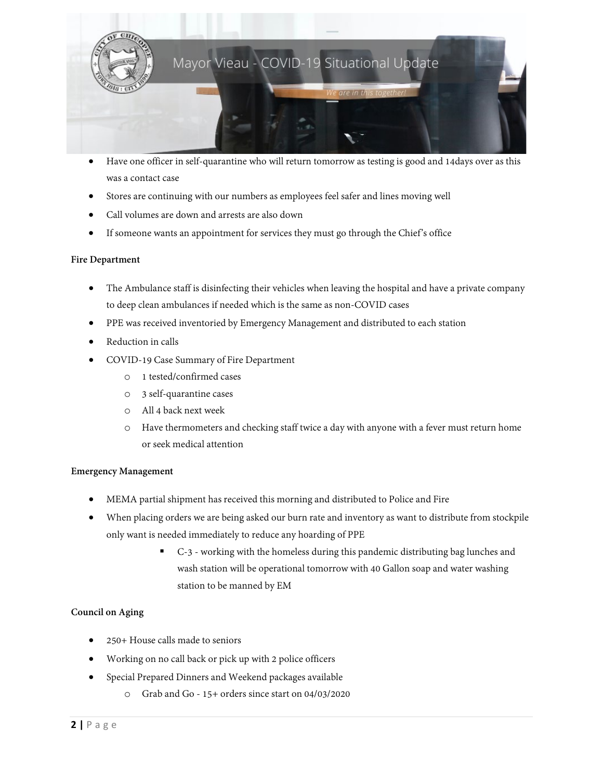

- Have one officer in self-quarantine who will return tomorrow as testing is good and 14days over as this was a contact case
- Stores are continuing with our numbers as employees feel safer and lines moving well
- Call volumes are down and arrests are also down
- If someone wants an appointment for services they must go through the Chief's office

### **Fire Department**

- The Ambulance staff is disinfecting their vehicles when leaving the hospital and have a private company to deep clean ambulances if needed which is the same as non-COVID cases
- PPE was received inventoried by Emergency Management and distributed to each station
- Reduction in calls
- COVID-19 Case Summary of Fire Department
	- o 1 tested/confirmed cases
	- o 3 self-quarantine cases
	- o All 4 back next week
	- o Have thermometers and checking staff twice a day with anyone with a fever must return home or seek medical attention

#### **Emergency Management**

- MEMA partial shipment has received this morning and distributed to Police and Fire
- When placing orders we are being asked our burn rate and inventory as want to distribute from stockpile only want is needed immediately to reduce any hoarding of PPE
	- C-3 working with the homeless during this pandemic distributing bag lunches and wash station will be operational tomorrow with 40 Gallon soap and water washing station to be manned by EM

## **Council on Aging**

- 250+ House calls made to seniors
- Working on no call back or pick up with 2 police officers
- Special Prepared Dinners and Weekend packages available
	- o Grab and Go 15+ orders since start on 04/03/2020